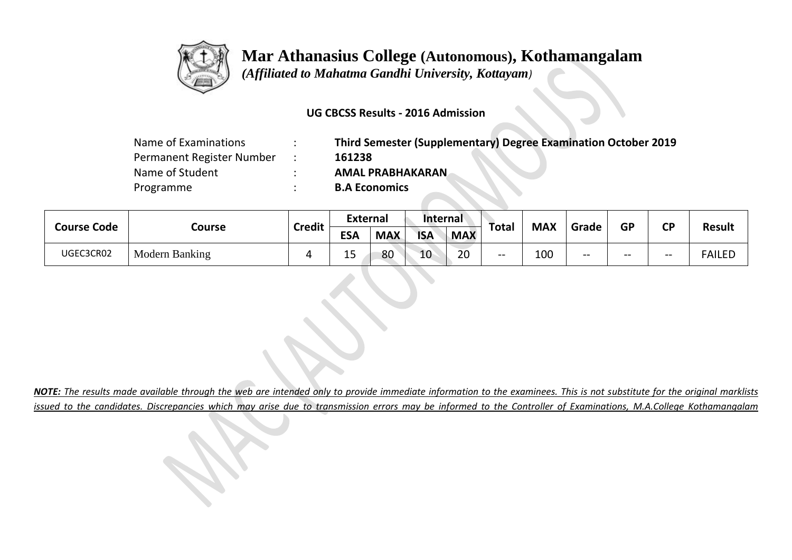

 *(Affiliated to Mahatma Gandhi University, Kottayam)*

### **UG CBCSS Results - 2016 Admission**

| Name of Examinations      | Third Semester (Supplementary) Degree Examination October 2019 |
|---------------------------|----------------------------------------------------------------|
| Permanent Register Number | 161238                                                         |
| Name of Student           | <b>AMAL PRABHAKARAN</b>                                        |
| Programme                 | <b>B.A Economics</b>                                           |
|                           |                                                                |

|                    |                       | <b>Credit</b> | <b>External</b> |            | Internal   |            |              | <b>MAX</b> |       | <b>GP</b> | <b>CP</b> | <b>Result</b> |
|--------------------|-----------------------|---------------|-----------------|------------|------------|------------|--------------|------------|-------|-----------|-----------|---------------|
| <b>Course Code</b> | Course                |               | <b>ESA</b>      | <b>MAX</b> | <b>ISA</b> | <b>MAX</b> | <b>Total</b> |            | Grade |           |           |               |
| UGEC3CR02          | <b>Modern Banking</b> |               | 1 5<br>ᅩJ       | 80         | 10         | 20         | $- -$        | 100        | $-$   | --        | $- -$     | <b>FAILED</b> |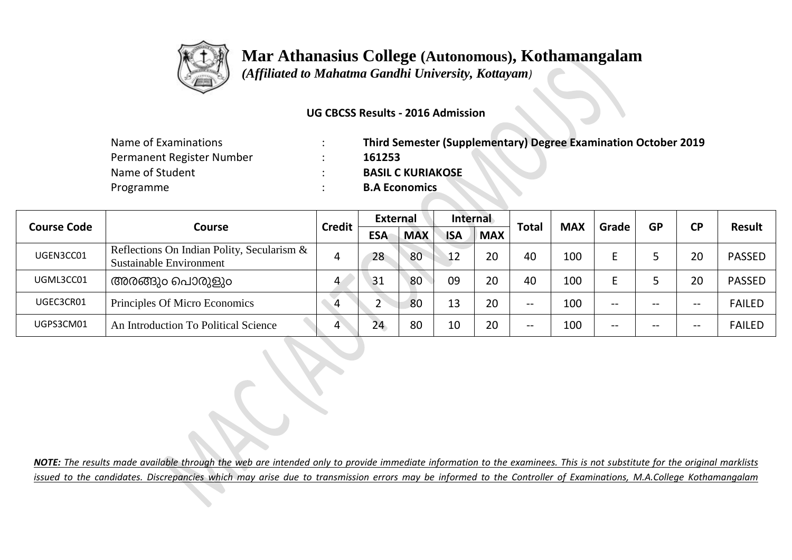

 *(Affiliated to Mahatma Gandhi University, Kottayam)*

#### **UG CBCSS Results - 2016 Admission**

| Name of Examinations      | Third Semester (Supplementary) Degree Examination October 2019 |
|---------------------------|----------------------------------------------------------------|
| Permanent Register Number | 161253                                                         |
| Name of Student           | <b>BASIL C KURIAKOSE</b>                                       |
| Programme                 | <b>B.A Economics</b>                                           |

|                    |                                                                       | <b>Credit</b> | External   |            | Internal   |            |              |            |       |           | <b>CP</b> |               |
|--------------------|-----------------------------------------------------------------------|---------------|------------|------------|------------|------------|--------------|------------|-------|-----------|-----------|---------------|
| <b>Course Code</b> | Course                                                                |               | <b>ESA</b> | <b>MAX</b> | <b>ISA</b> | <b>MAX</b> | <b>Total</b> | <b>MAX</b> | Grade | <b>GP</b> |           | <b>Result</b> |
| UGEN3CC01          | Reflections On Indian Polity, Secularism &<br>Sustainable Environment | 4             | 28         | 80         | 12         | 20         | 40           | 100        |       |           | 20        | <b>PASSED</b> |
| UGML3CC01          | അരങ്ങും പൊരുളും                                                       |               | 31         | 80         | 09         | 20         | 40           | 100        |       |           | 20        | <b>PASSED</b> |
| UGEC3CR01          | Principles Of Micro Economics                                         | 4             |            | 80         | 13         | 20         | $- -$        | 100        | $- -$ | $- -$     | $- -$     | <b>FAILED</b> |
| UGPS3CM01          | An Introduction To Political Science                                  | 4             | 24         | 80         | 10         | 20         | $- -$        | 100        | --    | $- -$     | --        | <b>FAILED</b> |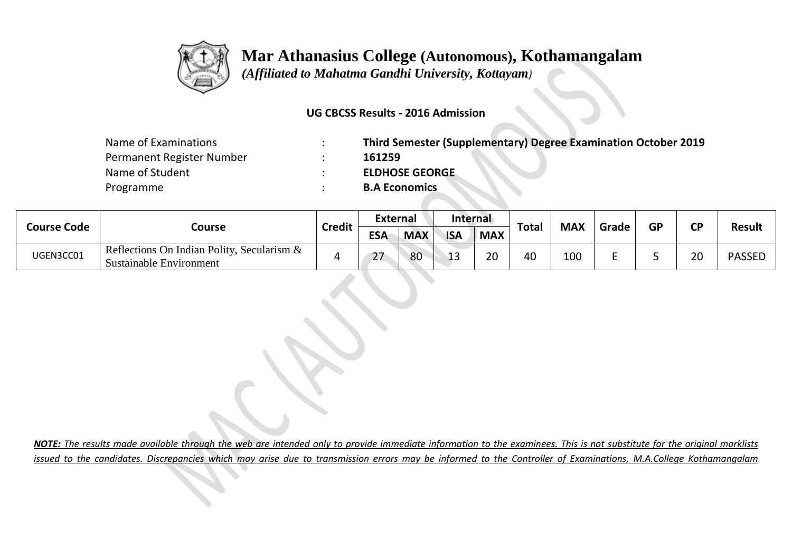

 *(Affiliated to Mahatma Gandhi University, Kottayam)*

### **UG CBCSS Results - 2016 Admission**

| Name of Examinations      | Third Semester (Supplementary) Degree Examination October 2019 |
|---------------------------|----------------------------------------------------------------|
| Permanent Register Number | 161259                                                         |
| Name of Student           | <b>ELDHOSE GEORGE</b>                                          |
| Programme                 | <b>B.A Economics</b>                                           |

|                    |                                                                       | <b>Credit</b> | External            |            | <b>Internal</b> |                    |              |            |       | GP | СD     |               |
|--------------------|-----------------------------------------------------------------------|---------------|---------------------|------------|-----------------|--------------------|--------------|------------|-------|----|--------|---------------|
| <b>Course Code</b> | Course                                                                |               | <b>ESA</b>          | <b>MAX</b> | <b>ISA</b>      | <b>MAX</b>         | <b>Total</b> | <b>MAX</b> | Grade |    |        | <b>Result</b> |
| UGEN3CC01          | Reflections On Indian Polity, Secularism &<br>Sustainable Environment |               | $\lnot$<br><u>_</u> | 80         | י               | $\mathsf{a}$<br>zu | 40           | 100        |       |    | $\sim$ | <b>PASSEL</b> |